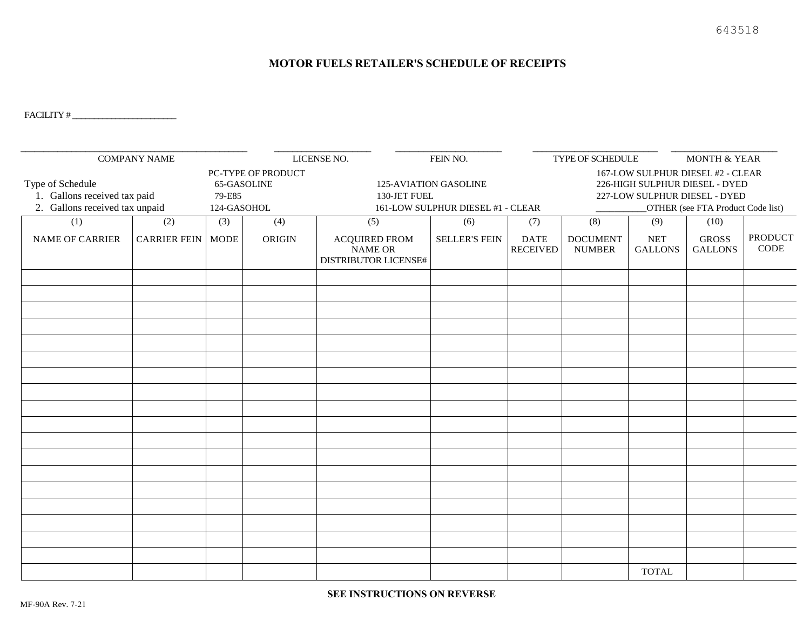#### **MOTOR FUELS RETAILER'S SCHEDULE OF RECEIPTS**

FACILITY # \_\_\_\_\_\_\_\_\_\_\_\_\_\_\_\_\_\_\_\_\_\_\_\_

| <b>COMPANY NAME</b>                                                                |                            |                                                            |        | LICENSE NO.<br>FEIN NO.                                                    |                      | TYPE OF SCHEDULE               |                                                                                                                                           |                              | <b>MONTH &amp; YEAR</b>        |                        |
|------------------------------------------------------------------------------------|----------------------------|------------------------------------------------------------|--------|----------------------------------------------------------------------------|----------------------|--------------------------------|-------------------------------------------------------------------------------------------------------------------------------------------|------------------------------|--------------------------------|------------------------|
| Type of Schedule<br>1. Gallons received tax paid<br>2. Gallons received tax unpaid |                            | PC-TYPE OF PRODUCT<br>65-GASOLINE<br>79-E85<br>124-GASOHOL |        | 125-AVIATION GASOLINE<br>130-JET FUEL<br>161-LOW SULPHUR DIESEL #1 - CLEAR |                      |                                | 167-LOW SULPHUR DIESEL #2 - CLEAR<br>226-HIGH SULPHUR DIESEL - DYED<br>227-LOW SULPHUR DIESEL - DYED<br>OTHER (see FTA Product Code list) |                              |                                |                        |
| (1)                                                                                | (2)                        | (3)                                                        | (4)    | (5)                                                                        | (6)                  | (7)                            | (8)                                                                                                                                       | (9)                          | (10)                           |                        |
| <b>NAME OF CARRIER</b>                                                             | <b>CARRIER FEIN   MODE</b> |                                                            | ORIGIN | <b>ACQUIRED FROM</b><br><b>NAME OR</b><br>DISTRIBUTOR LICENSE#             | <b>SELLER'S FEIN</b> | <b>DATE</b><br><b>RECEIVED</b> | <b>DOCUMENT</b><br><b>NUMBER</b>                                                                                                          | <b>NET</b><br><b>GALLONS</b> | <b>GROSS</b><br><b>GALLONS</b> | <b>PRODUCT</b><br>CODE |
|                                                                                    |                            |                                                            |        |                                                                            |                      |                                |                                                                                                                                           |                              |                                |                        |
|                                                                                    |                            |                                                            |        |                                                                            |                      |                                |                                                                                                                                           |                              |                                |                        |
|                                                                                    |                            |                                                            |        |                                                                            |                      |                                |                                                                                                                                           |                              |                                |                        |
|                                                                                    |                            |                                                            |        |                                                                            |                      |                                |                                                                                                                                           |                              |                                |                        |
|                                                                                    |                            |                                                            |        |                                                                            |                      |                                |                                                                                                                                           |                              |                                |                        |
|                                                                                    |                            |                                                            |        |                                                                            |                      |                                |                                                                                                                                           |                              |                                |                        |
|                                                                                    |                            |                                                            |        |                                                                            |                      |                                |                                                                                                                                           |                              |                                |                        |
|                                                                                    |                            |                                                            |        |                                                                            |                      |                                |                                                                                                                                           |                              |                                |                        |
|                                                                                    |                            |                                                            |        |                                                                            |                      |                                |                                                                                                                                           |                              |                                |                        |
|                                                                                    |                            |                                                            |        |                                                                            |                      |                                |                                                                                                                                           |                              |                                |                        |
|                                                                                    |                            |                                                            |        |                                                                            |                      |                                |                                                                                                                                           |                              |                                |                        |
|                                                                                    |                            |                                                            |        |                                                                            |                      |                                |                                                                                                                                           |                              |                                |                        |
|                                                                                    |                            |                                                            |        |                                                                            |                      |                                |                                                                                                                                           |                              |                                |                        |
|                                                                                    |                            |                                                            |        |                                                                            |                      |                                |                                                                                                                                           |                              |                                |                        |
|                                                                                    |                            |                                                            |        |                                                                            |                      |                                |                                                                                                                                           |                              |                                |                        |
|                                                                                    |                            |                                                            |        |                                                                            |                      |                                |                                                                                                                                           |                              |                                |                        |
|                                                                                    |                            |                                                            |        |                                                                            |                      |                                |                                                                                                                                           |                              |                                |                        |
|                                                                                    |                            |                                                            |        |                                                                            |                      |                                |                                                                                                                                           |                              |                                |                        |
|                                                                                    |                            |                                                            |        |                                                                            |                      |                                |                                                                                                                                           | <b>TOTAL</b>                 |                                |                        |